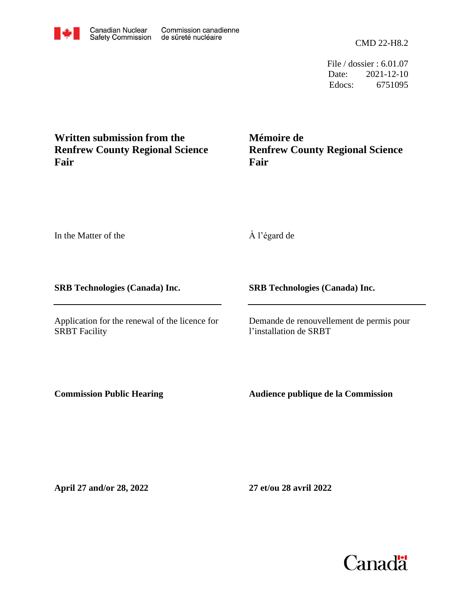CMD 22-H8.2

 Edocs: 6751095 Date: 2021-12-10 File / dossier : 6.01.07

**Written submission from the Renfrew County Regional Science Fair**

**Mémoire de Renfrew County Regional Science Fair**

In the Matter of the

À l'égard de

**SRB Technologies (Canada) Inc.**

Application for the renewal of the licence for SRBT Facility

**SRB Technologies (Canada) Inc.**

Demande de renouvellement de permis pour l'installation de SRBT

**Commission Public Hearing**

**Audience publique de la Commission**

**April 27 and/or 28, 2022**

**27 et/ou 28 avril 2022**